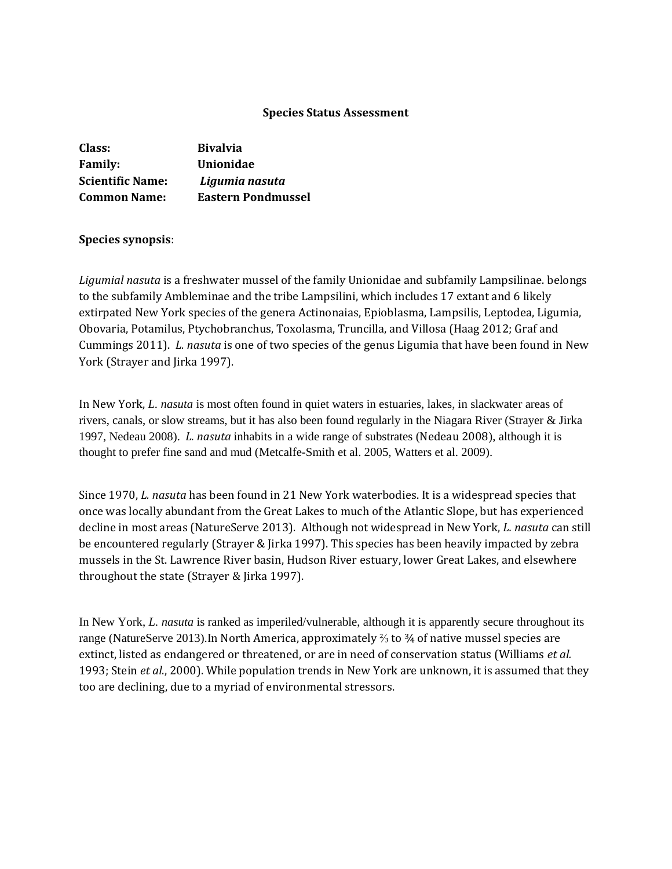#### **Species Status Assessment**

| Class:                  | <b>Bivalvia</b>           |
|-------------------------|---------------------------|
| <b>Family:</b>          | <b>Unionidae</b>          |
| <b>Scientific Name:</b> | Ligumia nasuta            |
| <b>Common Name:</b>     | <b>Eastern Pondmussel</b> |

#### **Species synopsis**:

*Ligumial nasuta* is a freshwater mussel of the family Unionidae and subfamily Lampsilinae. belongs to the subfamily Ambleminae and the tribe Lampsilini, which includes 17 extant and 6 likely extirpated New York species of the genera Actinonaias, Epioblasma, Lampsilis, Leptodea, Ligumia, Obovaria, Potamilus, Ptychobranchus, Toxolasma, Truncilla, and Villosa (Haag 2012; Graf and Cummings 2011). *L. nasuta* is one of two species of the genus Ligumia that have been found in New York (Strayer and Jirka 1997).

In New York, *L. nasuta* is most often found in quiet waters in estuaries, lakes, in slackwater areas of rivers, canals, or slow streams, but it has also been found regularly in the Niagara River (Strayer & Jirka 1997, Nedeau 2008). *L. nasuta* inhabits in a wide range of substrates (Nedeau 2008), although it is thought to prefer fine sand and mud (Metcalfe-Smith et al. 2005, Watters et al. 2009).

Since 1970, *L. nasuta* has been found in 21 New York waterbodies. It is a widespread species that once was locally abundant from the Great Lakes to much of the Atlantic Slope, but has experienced decline in most areas (NatureServe 2013). Although not widespread in New York, *L. nasuta* can still be encountered regularly (Strayer & Jirka 1997). This species has been heavily impacted by zebra mussels in the St. Lawrence River basin, Hudson River estuary, lower Great Lakes, and elsewhere throughout the state (Strayer & Jirka 1997).

In New York, *L. nasuta* is ranked as imperiled/vulnerable, although it is apparently secure throughout its range (NatureServe 2013).In North America, approximately ⅔ to ¾ of native mussel species are extinct, listed as endangered or threatened, or are in need of conservation status (Williams *et al.*  1993; Stein *et al*., 2000). While population trends in New York are unknown, it is assumed that they too are declining, due to a myriad of environmental stressors.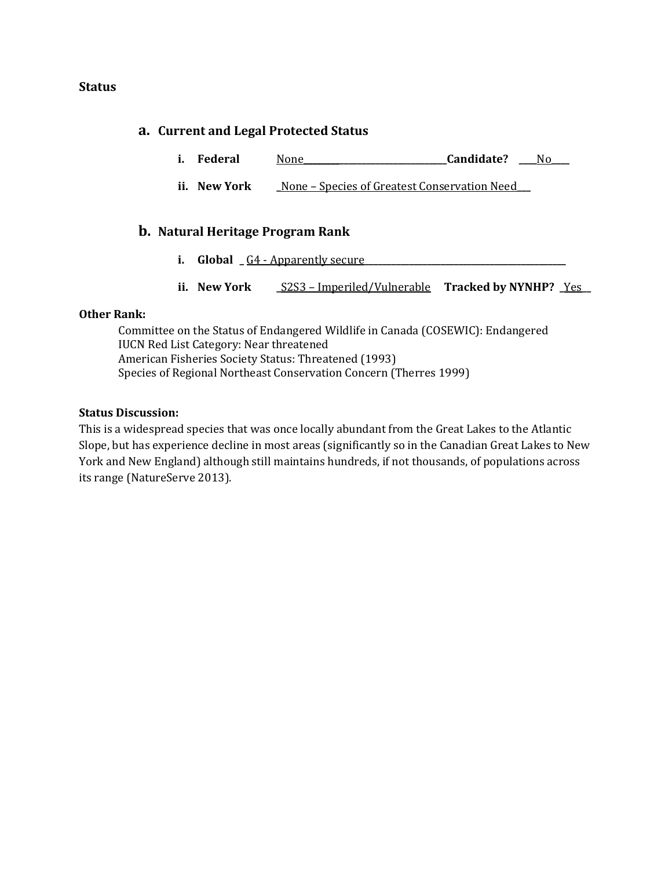### **Status**

### **a. Current and Legal Protected Status**

- **i. Federal** None**\_\_\_\_\_\_\_\_\_\_\_\_\_\_\_\_\_\_\_\_\_\_\_\_\_\_\_\_\_\_\_\_Candidate? \_\_\_\_**No**\_\_\_\_**
- **ii. New York \_**None Species of Greatest Conservation Need**\_\_\_**

### **b. Natural Heritage Program Rank**

- **i. Global**  $\overline{\phantom{a}}$   $\overline{\phantom{a}}$   $\overline{\phantom{a}}$   $\overline{\phantom{a}}$   $\overline{\phantom{a}}$   $\overline{\phantom{a}}$   $\overline{\phantom{a}}$   $\overline{\phantom{a}}$   $\overline{\phantom{a}}$   $\overline{\phantom{a}}$   $\overline{\phantom{a}}$   $\overline{\phantom{a}}$   $\overline{\phantom{a}}$   $\overline{\phantom{a}}$   $\overline{\phantom{a}}$   $\overline{\phantom{a}}$   $\overline{\phantom{a}}$   $\overline$
- **ii. New York \_**S2S3 Imperiled/Vulnerable **Tracked by NYNHP? \_**Yes**\_\_**

### **Other Rank:**

Committee on the Status of Endangered Wildlife in Canada (COSEWIC): Endangered IUCN Red List Category: Near threatened American Fisheries Society Status: Threatened (1993) Species of Regional Northeast Conservation Concern (Therres 1999)

#### **Status Discussion:**

This is a widespread species that was once locally abundant from the Great Lakes to the Atlantic Slope, but has experience decline in most areas (significantly so in the Canadian Great Lakes to New York and New England) although still maintains hundreds, if not thousands, of populations across its range (NatureServe 2013).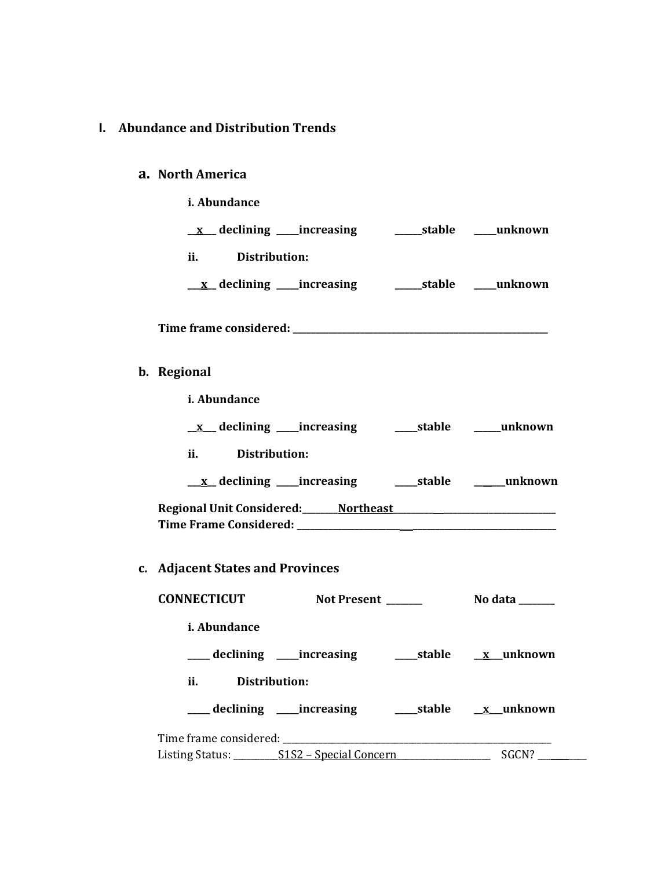# **I. Abundance and Distribution Trends**

# **a. North America**

**b**.

| i. Abundance                                              |
|-----------------------------------------------------------|
| <u>x</u> declining increasing a stable must declining     |
| $\mathbf{ii}$<br>Distribution:                            |
|                                                           |
|                                                           |
| b. Regional                                               |
| i. Abundance                                              |
|                                                           |
| $\mathbf{ii}$<br>Distribution:                            |
|                                                           |
| Regional Unit Considered: Northeast Northeast             |
| c. Adjacent States and Provinces                          |
| <b>CONNECTICUT</b><br>Not Present _____<br>No data $\_\_$ |

| <i>i. Abundance</i> |                                               |                  |
|---------------------|-----------------------------------------------|------------------|
|                     | _declining ____increasing                     | stable x unknown |
| ii.                 | Distribution:                                 |                  |
|                     | ____ declining ____ increasing                | stable x unknown |
|                     | Time frame considered: Time frame considered: |                  |
|                     |                                               | SGCN?            |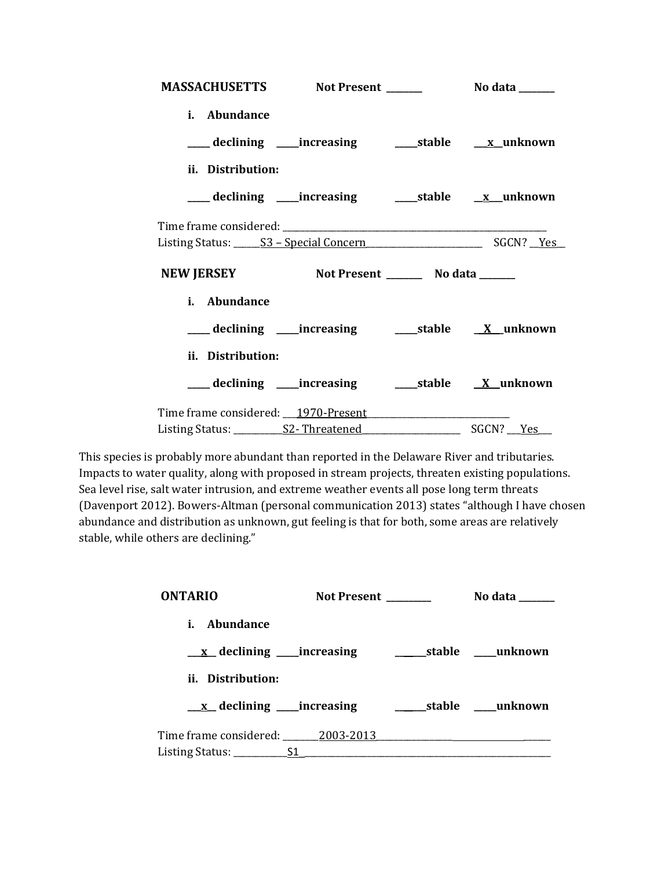| MASSACHUSETTS Not Present ______    |                                                              | No data <b>the set of the set of the set of the set of the set of the set of the set of the set of the set of the set of the set of the set of the set of the set of the set of the set of the set of the set of the set of the </b> |
|-------------------------------------|--------------------------------------------------------------|--------------------------------------------------------------------------------------------------------------------------------------------------------------------------------------------------------------------------------------|
| i. Abundance                        |                                                              |                                                                                                                                                                                                                                      |
|                                     | ___declining ___increasing _____stable ___ <u>x</u> _unknown |                                                                                                                                                                                                                                      |
| ii. Distribution:                   |                                                              |                                                                                                                                                                                                                                      |
|                                     |                                                              |                                                                                                                                                                                                                                      |
|                                     |                                                              |                                                                                                                                                                                                                                      |
|                                     |                                                              |                                                                                                                                                                                                                                      |
| <b>NEW JERSEY</b>                   | Not Present __________ No data _______                       |                                                                                                                                                                                                                                      |
| i. Abundance                        |                                                              |                                                                                                                                                                                                                                      |
|                                     |                                                              |                                                                                                                                                                                                                                      |
| ii. Distribution:                   |                                                              |                                                                                                                                                                                                                                      |
|                                     | ___ declining ____ increasing ______ stable ___ X_unknown    |                                                                                                                                                                                                                                      |
| Time frame considered: 1970-Present |                                                              |                                                                                                                                                                                                                                      |

This species is probably more abundant than reported in the Delaware River and tributaries. Impacts to water quality, along with proposed in stream projects, threaten existing populations. Sea level rise, salt water intrusion, and extreme weather events all pose long term threats (Davenport 2012). Bowers-Altman (personal communication 2013) states "although I have chosen abundance and distribution as unknown, gut feeling is that for both, some areas are relatively stable, while others are declining."

| <b>ONTARIO</b>                                                                                                                                                                    | Not Present | No data                    |
|-----------------------------------------------------------------------------------------------------------------------------------------------------------------------------------|-------------|----------------------------|
| <i>i.</i> Abundance                                                                                                                                                               |             |                            |
| <u>x</u> declining ____increasing                                                                                                                                                 |             |                            |
| ii. Distribution:                                                                                                                                                                 |             |                            |
| $\underline{x}$ declining _____increasing                                                                                                                                         |             | _______stable _____unknown |
| Time frame considered: 2003-2013                                                                                                                                                  |             |                            |
| Listing Status: $\underline{\hspace{1cm}}$ $\underline{\hspace{1cm}}$ $\underline{\hspace{1cm}}$ $\underline{\hspace{1cm}}$ $\underline{\hspace{1cm}}$ $\underline{\hspace{1cm}}$ |             |                            |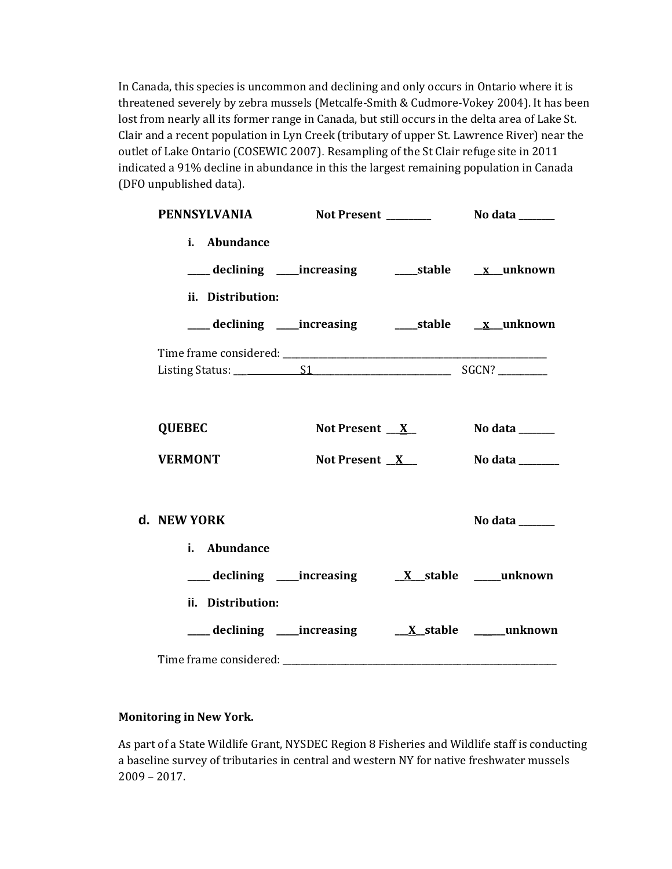In Canada, this species is uncommon and declining and only occurs in Ontario where it is threatened severely by zebra mussels (Metcalfe-Smith & Cudmore-Vokey 2004). It has been lost from nearly all its former range in Canada, but still occurs in the delta area of Lake St. Clair and a recent population in Lyn Creek (tributary of upper St. Lawrence River) near the outlet of Lake Ontario (COSEWIC 2007). Resampling of the St Clair refuge site in 2011 indicated a 91% decline in abundance in this the largest remaining population in Canada (DFO unpublished data).

| <b>PENNSYLVANIA</b>                                                                           |                 |                                 |
|-----------------------------------------------------------------------------------------------|-----------------|---------------------------------|
| i. Abundance<br>___ declining ____increasing ______stable ___ x__unknown<br>ii. Distribution: |                 |                                 |
| ___ declining ____increasing ______stable ___ x__unknown                                      |                 |                                 |
|                                                                                               |                 |                                 |
| <b>QUEBEC</b>                                                                                 | Not Present $X$ | No data $\_\_\_\_\_\_\_\_\_\_\$ |
| <b>VERMONT</b>                                                                                | Not Present $X$ | No data _______                 |
| d. NEW YORK<br>i. Abundance                                                                   |                 | No data _____                   |
| declining increasing X stable _____ unknown                                                   |                 |                                 |
| ii. Distribution:                                                                             |                 |                                 |
|                                                                                               |                 |                                 |

### **Monitoring in New York.**

As part of a State Wildlife Grant, NYSDEC Region 8 Fisheries and Wildlife staff is conducting a baseline survey of tributaries in central and western NY for native freshwater mussels 2009 – 2017.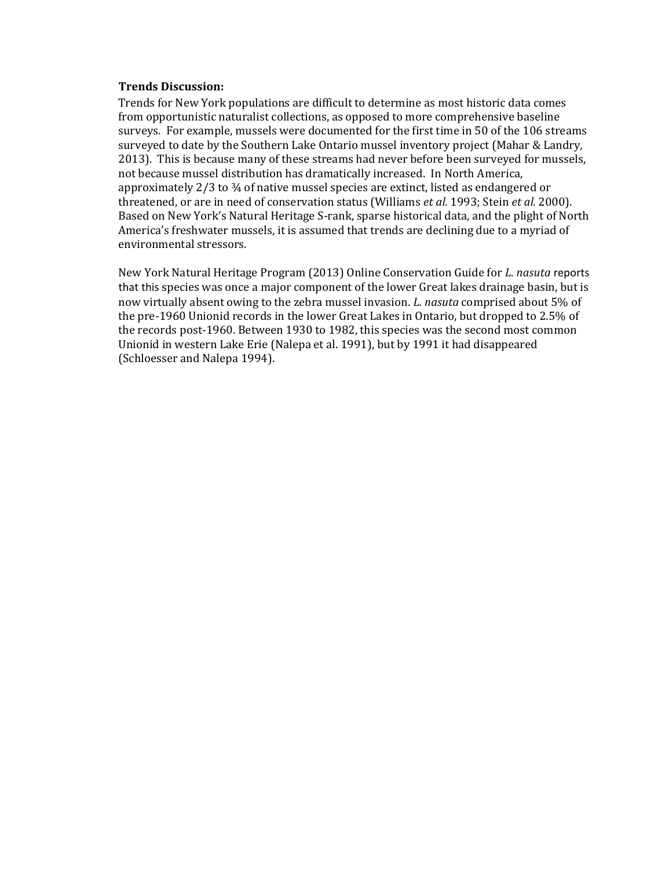#### **Trends Discussion:**

Trends for New York populations are difficult to determine as most historic data comes from opportunistic naturalist collections, as opposed to more comprehensive baseline surveys. For example, mussels were documented for the first time in 50 of the 106 streams surveyed to date by the Southern Lake Ontario mussel inventory project (Mahar & Landry, 2013). This is because many of these streams had never before been surveyed for mussels, not because mussel distribution has dramatically increased. In North America, approximately 2/3 to ¾ of native mussel species are extinct, listed as endangered or threatened, or are in need of conservation status (Williams *et al.* 1993; Stein *et al.* 2000). Based on New York's Natural Heritage S-rank, sparse historical data, and the plight of North America's freshwater mussels, it is assumed that trends are declining due to a myriad of environmental stressors.

New York Natural Heritage Program (2013) Online Conservation Guide for *L. nasuta* reports that this species was once a major component of the lower Great lakes drainage basin, but is now virtually absent owing to the zebra mussel invasion. *L. nasuta* comprised about 5% of the pre-1960 Unionid records in the lower Great Lakes in Ontario, but dropped to 2.5% of the records post-1960. Between 1930 to 1982, this species was the second most common Unionid in western Lake Erie (Nalepa et al. 1991), but by 1991 it had disappeared (Schloesser and Nalepa 1994).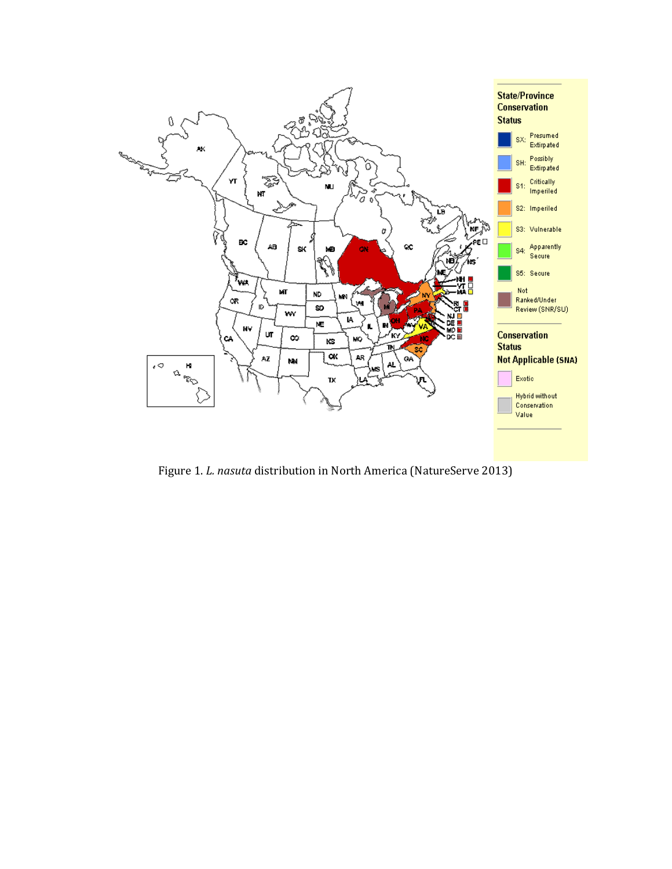

Figure 1. *L. nasuta* distribution in North America (NatureServe 2013)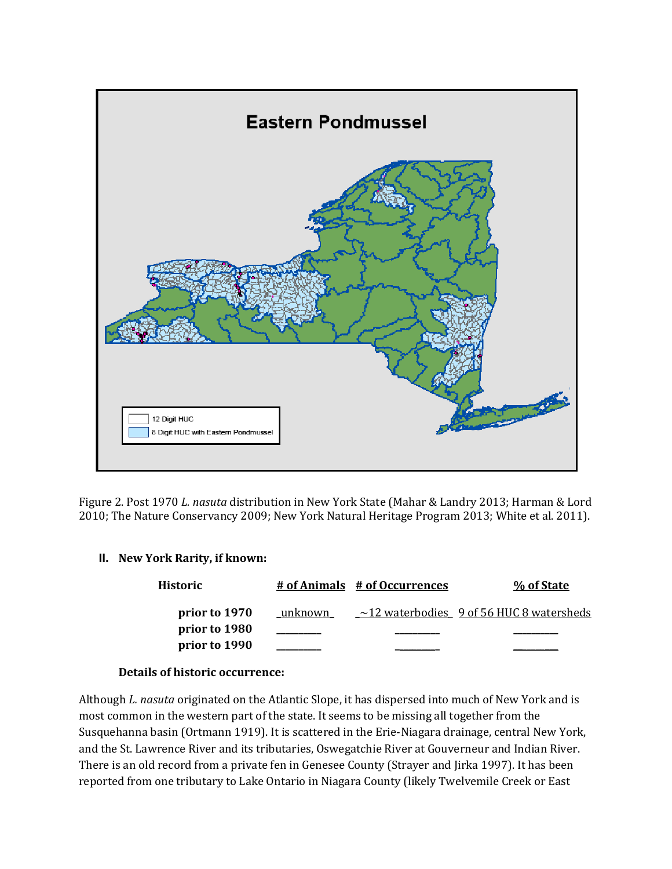

Figure 2. Post 1970 *L. nasuta* distribution in New York State (Mahar & Landry 2013; Harman & Lord 2010; The Nature Conservancy 2009; New York Natural Heritage Program 2013; White et al. 2011).

### **II. New York Rarity, if known:**

| <b>Historic</b>                |         | # of Animals # of Occurrences | % of State                                     |
|--------------------------------|---------|-------------------------------|------------------------------------------------|
| prior to 1970                  | unknown |                               | $\sim$ 12 waterbodies 9 of 56 HUC 8 watersheds |
| prior to 1980<br>prior to 1990 |         |                               |                                                |

### **Details of historic occurrence:**

Although *L. nasuta* originated on the Atlantic Slope, it has dispersed into much of New York and is most common in the western part of the state. It seems to be missing all together from the Susquehanna basin (Ortmann 1919). It is scattered in the Erie-Niagara drainage, central New York, and the St. Lawrence River and its tributaries, Oswegatchie River at Gouverneur and Indian River. There is an old record from a private fen in Genesee County (Strayer and Jirka 1997). It has been reported from one tributary to Lake Ontario in Niagara County (likely Twelvemile Creek or East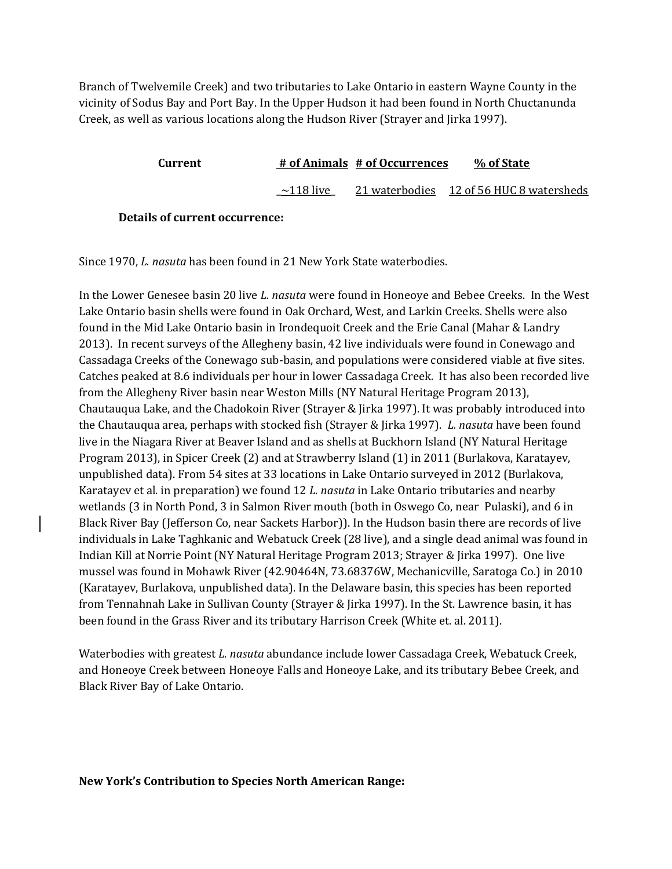Branch of Twelvemile Creek) and two tributaries to Lake Ontario in eastern Wayne County in the vicinity of Sodus Bay and Port Bay. In the Upper Hudson it had been found in North Chuctanunda Creek, as well as various locations along the Hudson River (Strayer and Jirka 1997).

| Current |                 | # of Animals # of Occurrences | % of State                               |  |
|---------|-----------------|-------------------------------|------------------------------------------|--|
|         | $\sim$ 118 live |                               | 21 waterbodies 12 of 56 HUC 8 watersheds |  |

### **Details of current occurrence:**

Since 1970, *L. nasuta* has been found in 21 New York State waterbodies.

In the Lower Genesee basin 20 live *L. nasuta* were found in Honeoye and Bebee Creeks. In the West Lake Ontario basin shells were found in Oak Orchard, West, and Larkin Creeks. Shells were also found in the Mid Lake Ontario basin in Irondequoit Creek and the Erie Canal (Mahar & Landry 2013). In recent surveys of the Allegheny basin, 42 live individuals were found in Conewago and Cassadaga Creeks of the Conewago sub-basin, and populations were considered viable at five sites. Catches peaked at 8.6 individuals per hour in lower Cassadaga Creek. It has also been recorded live from the Allegheny River basin near Weston Mills (NY Natural Heritage Program 2013), Chautauqua Lake, and the Chadokoin River (Strayer & Jirka 1997). It was probably introduced into the Chautauqua area, perhaps with stocked fish (Strayer & Jirka 1997). *L. nasuta* have been found live in the Niagara River at Beaver Island and as shells at Buckhorn Island (NY Natural Heritage Program 2013), in Spicer Creek (2) and at Strawberry Island (1) in 2011 (Burlakova, Karatayev, unpublished data). From 54 sites at 33 locations in Lake Ontario surveyed in 2012 (Burlakova, Karatayev et al. in preparation) we found 12 *L. nasuta* in Lake Ontario tributaries and nearby wetlands (3 in North Pond, 3 in Salmon River mouth (both in Oswego Co, near Pulaski), and 6 in Black River Bay (Jefferson Co, near Sackets Harbor)). In the Hudson basin there are records of live individuals in Lake Taghkanic and Webatuck Creek (28 live), and a single dead animal was found in Indian Kill at Norrie Point (NY Natural Heritage Program 2013; Strayer & Jirka 1997). One live mussel was found in Mohawk River (42.90464N, 73.68376W, Mechanicville, Saratoga Co.) in 2010 (Karatayev, Burlakova, unpublished data). In the Delaware basin, this species has been reported from Tennahnah Lake in Sullivan County (Strayer & Jirka 1997). In the St. Lawrence basin, it has been found in the Grass River and its tributary Harrison Creek (White et. al. 2011).

Waterbodies with greatest *L. nasuta* abundance include lower Cassadaga Creek, Webatuck Creek, and Honeoye Creek between Honeoye Falls and Honeoye Lake, and its tributary Bebee Creek, and Black River Bay of Lake Ontario.

### **New York's Contribution to Species North American Range:**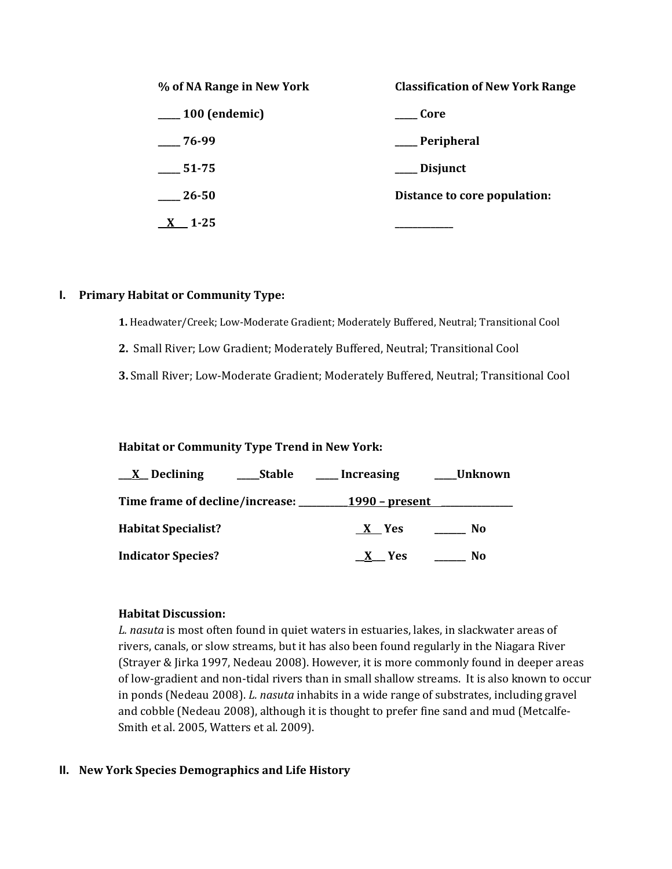| % of NA Range in New York | <b>Classification of New York Range</b> |
|---------------------------|-----------------------------------------|
| $\frac{100}{2}$ (endemic) | Core                                    |
| 76-99                     | __ Peripheral                           |
| $\frac{1}{2}$ 51-75       | ___ Disjunct                            |
| $\frac{26-50}{2}$         | Distance to core population:            |
| $\underline{X}$ 1-25      |                                         |

### **I. Primary Habitat or Community Type:**

- **1.** Headwater/Creek; Low-Moderate Gradient; Moderately Buffered, Neutral; Transitional Cool
- **2.** Small River; Low Gradient; Moderately Buffered, Neutral; Transitional Cool
- **3.** Small River; Low-Moderate Gradient; Moderately Buffered, Neutral; Transitional Cool

### **Habitat or Community Type Trend in New York:**

| $\underline{X}$ Declining<br><b>Stable</b> | <b>Increasing</b>      | Unknown        |
|--------------------------------------------|------------------------|----------------|
| Time frame of decline/increase:            | <u> 1990 – present</u> |                |
| <b>Habitat Specialist?</b>                 | X Yes                  | N <sub>0</sub> |
| <b>Indicator Species?</b>                  | X Yes                  | No             |

#### **Habitat Discussion:**

*L. nasuta* is most often found in quiet waters in estuaries, lakes, in slackwater areas of rivers, canals, or slow streams, but it has also been found regularly in the Niagara River (Strayer & Jirka 1997, Nedeau 2008). However, it is more commonly found in deeper areas of low-gradient and non-tidal rivers than in small shallow streams. It is also known to occur in ponds (Nedeau 2008). *L. nasuta* inhabits in a wide range of substrates, including gravel and cobble (Nedeau 2008), although it is thought to prefer fine sand and mud (Metcalfe-Smith et al. 2005, Watters et al. 2009).

### **II. New York Species Demographics and Life History**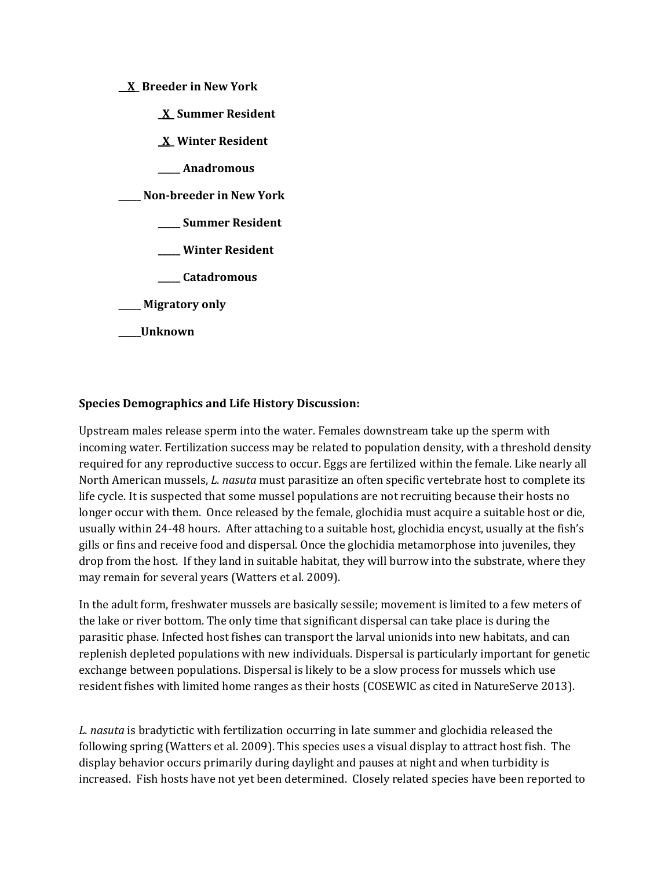### **\_\_X\_ Breeder in New York**

**\_X\_ Summer Resident**

**\_X\_ Winter Resident**

**\_\_\_\_\_ Anadromous**

**\_\_\_\_\_ Non-breeder in New York**

**\_\_\_\_\_ Summer Resident**

**\_\_\_\_\_ Winter Resident**

**\_\_\_\_\_ Catadromous**

**\_\_\_\_\_ Migratory only**

### **\_\_\_\_\_Unknown**

### **Species Demographics and Life History Discussion:**

Upstream males release sperm into the water. Females downstream take up the sperm with incoming water. Fertilization success may be related to population density, with a threshold density required for any reproductive success to occur. Eggs are fertilized within the female. Like nearly all North American mussels, *L. nasuta* must parasitize an often specific vertebrate host to complete its life cycle. It is suspected that some mussel populations are not recruiting because their hosts no longer occur with them. Once released by the female, glochidia must acquire a suitable host or die, usually within 24-48 hours. After attaching to a suitable host, glochidia encyst, usually at the fish's gills or fins and receive food and dispersal. Once the glochidia metamorphose into juveniles, they drop from the host. If they land in suitable habitat, they will burrow into the substrate, where they may remain for several years (Watters et al. 2009).

In the adult form, freshwater mussels are basically sessile; movement is limited to a few meters of the lake or river bottom. The only time that significant dispersal can take place is during the parasitic phase. Infected host fishes can transport the larval unionids into new habitats, and can replenish depleted populations with new individuals. Dispersal is particularly important for genetic exchange between populations. Dispersal is likely to be a slow process for mussels which use resident fishes with limited home ranges as their hosts (COSEWIC as cited in NatureServe 2013).

*L. nasuta* is bradytictic with fertilization occurring in late summer and glochidia released the following spring (Watters et al. 2009). This species uses a visual display to attract host fish. The display behavior occurs primarily during daylight and pauses at night and when turbidity is increased. Fish hosts have not yet been determined. Closely related species have been reported to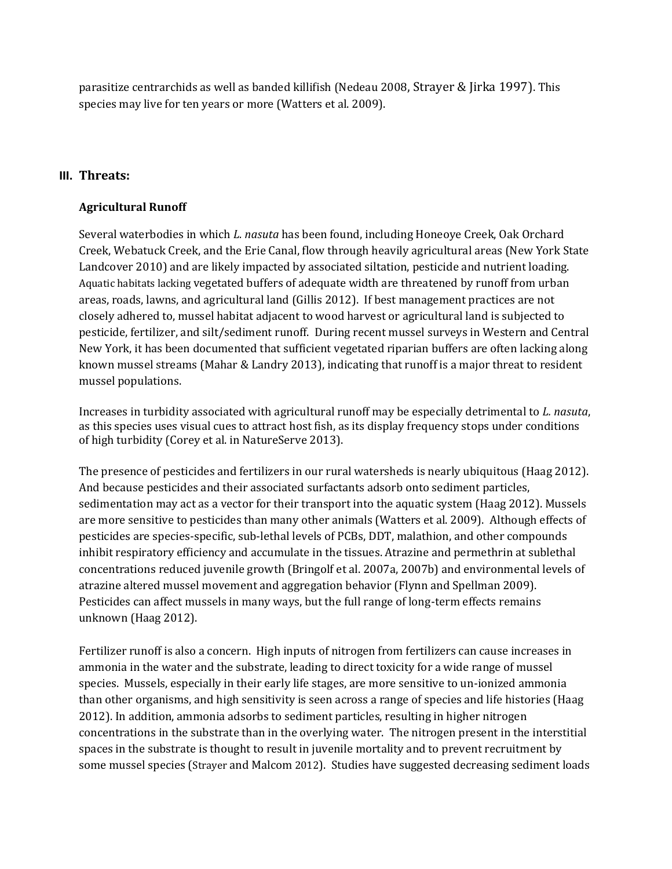parasitize centrarchids as well as banded killifish (Nedeau 2008, Strayer & Jirka 1997). This species may live for ten years or more (Watters et al. 2009).

# **III. Threats:**

### **Agricultural Runoff**

Several waterbodies in which *L. nasuta* has been found, including Honeoye Creek, Oak Orchard Creek, Webatuck Creek, and the Erie Canal, flow through heavily agricultural areas (New York State Landcover 2010) and are likely impacted by associated siltation, pesticide and nutrient loading. Aquatic habitats lacking vegetated buffers of adequate width are threatened by runoff from urban areas, roads, lawns, and agricultural land (Gillis 2012). If best management practices are not closely adhered to, mussel habitat adjacent to wood harvest or agricultural land is subjected to pesticide, fertilizer, and silt/sediment runoff. During recent mussel surveys in Western and Central New York, it has been documented that sufficient vegetated riparian buffers are often lacking along known mussel streams (Mahar & Landry 2013), indicating that runoff is a major threat to resident mussel populations.

Increases in turbidity associated with agricultural runoff may be especially detrimental to *L. nasuta*, as this species uses visual cues to attract host fish, as its display frequency stops under conditions of high turbidity (Corey et al. in NatureServe 2013).

The presence of pesticides and fertilizers in our rural watersheds is nearly ubiquitous (Haag 2012). And because pesticides and their associated surfactants adsorb onto sediment particles, sedimentation may act as a vector for their transport into the aquatic system (Haag 2012). Mussels are more sensitive to pesticides than many other animals (Watters et al. 2009). Although effects of pesticides are species-specific, sub-lethal levels of PCBs, DDT, malathion, and other compounds inhibit respiratory efficiency and accumulate in the tissues. Atrazine and permethrin at sublethal concentrations reduced juvenile growth (Bringolf et al. 2007a, 2007b) and environmental levels of atrazine altered mussel movement and aggregation behavior (Flynn and Spellman 2009). Pesticides can affect mussels in many ways, but the full range of long-term effects remains unknown (Haag 2012).

Fertilizer runoff is also a concern. High inputs of nitrogen from fertilizers can cause increases in ammonia in the water and the substrate, leading to direct toxicity for a wide range of mussel species. Mussels, especially in their early life stages, are more sensitive to un-ionized ammonia than other organisms, and high sensitivity is seen across a range of species and life histories (Haag 2012). In addition, ammonia adsorbs to sediment particles, resulting in higher nitrogen concentrations in the substrate than in the overlying water. The nitrogen present in the interstitial spaces in the substrate is thought to result in juvenile mortality and to prevent recruitment by some mussel species (Strayer and Malcom 2012). Studies have suggested decreasing sediment loads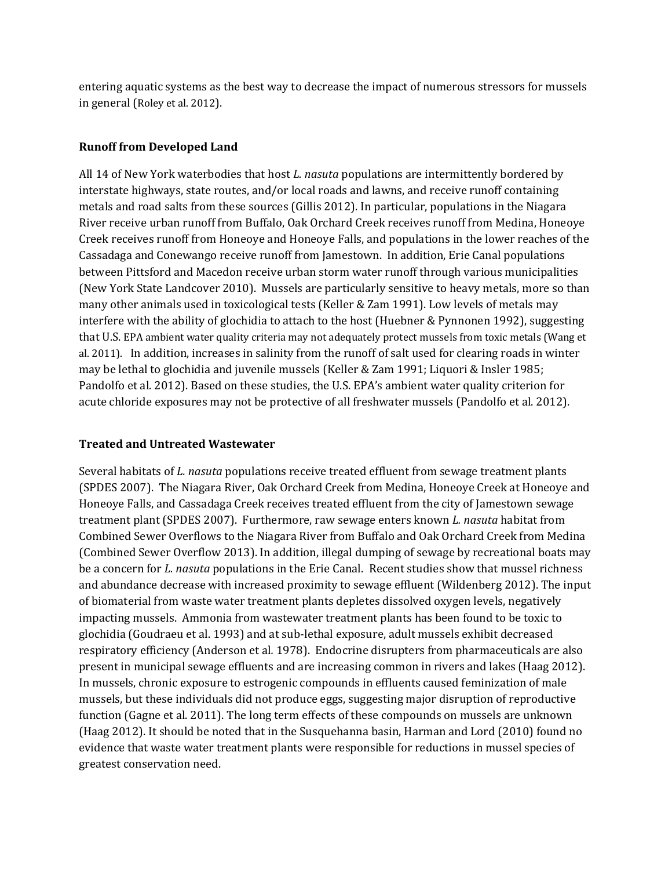entering aquatic systems as the best way to decrease the impact of numerous stressors for mussels in general (Roley et al. 2012).

### **Runoff from Developed Land**

All 14 of New York waterbodies that host *L. nasuta* populations are intermittently bordered by interstate highways, state routes, and/or local roads and lawns, and receive runoff containing metals and road salts from these sources (Gillis 2012). In particular, populations in the Niagara River receive urban runoff from Buffalo, Oak Orchard Creek receives runoff from Medina, Honeoye Creek receives runoff from Honeoye and Honeoye Falls, and populations in the lower reaches of the Cassadaga and Conewango receive runoff from Jamestown. In addition, Erie Canal populations between Pittsford and Macedon receive urban storm water runoff through various municipalities (New York State Landcover 2010). Mussels are particularly sensitive to heavy metals, more so than many other animals used in toxicological tests (Keller & Zam 1991). Low levels of metals may interfere with the ability of glochidia to attach to the host (Huebner & Pynnonen 1992), suggesting that U.S. EPA ambient water quality criteria may not adequately protect mussels from toxic metals (Wang et al. 2011). In addition, increases in salinity from the runoff of salt used for clearing roads in winter may be lethal to glochidia and juvenile mussels (Keller & Zam 1991; Liquori & Insler 1985; Pandolfo et al. 2012). Based on these studies, the U.S. EPA's ambient water quality criterion for acute chloride exposures may not be protective of all freshwater mussels (Pandolfo et al. 2012).

### **Treated and Untreated Wastewater**

Several habitats of *L. nasuta* populations receive treated effluent from sewage treatment plants (SPDES 2007). The Niagara River, Oak Orchard Creek from Medina, Honeoye Creek at Honeoye and Honeoye Falls, and Cassadaga Creek receives treated effluent from the city of Jamestown sewage treatment plant (SPDES 2007). Furthermore, raw sewage enters known *L. nasuta* habitat from Combined Sewer Overflows to the Niagara River from Buffalo and Oak Orchard Creek from Medina (Combined Sewer Overflow 2013). In addition, illegal dumping of sewage by recreational boats may be a concern for *L. nasuta* populations in the Erie Canal. Recent studies show that mussel richness and abundance decrease with increased proximity to sewage effluent (Wildenberg 2012). The input of biomaterial from waste water treatment plants depletes dissolved oxygen levels, negatively impacting mussels. Ammonia from wastewater treatment plants has been found to be toxic to glochidia (Goudraeu et al. 1993) and at sub-lethal exposure, adult mussels exhibit decreased respiratory efficiency (Anderson et al*.* 1978). Endocrine disrupters from pharmaceuticals are also present in municipal sewage effluents and are increasing common in rivers and lakes (Haag 2012). In mussels, chronic exposure to estrogenic compounds in effluents caused feminization of male mussels, but these individuals did not produce eggs, suggesting major disruption of reproductive function (Gagne et al. 2011). The long term effects of these compounds on mussels are unknown (Haag 2012). It should be noted that in the Susquehanna basin, Harman and Lord (2010) found no evidence that waste water treatment plants were responsible for reductions in mussel species of greatest conservation need.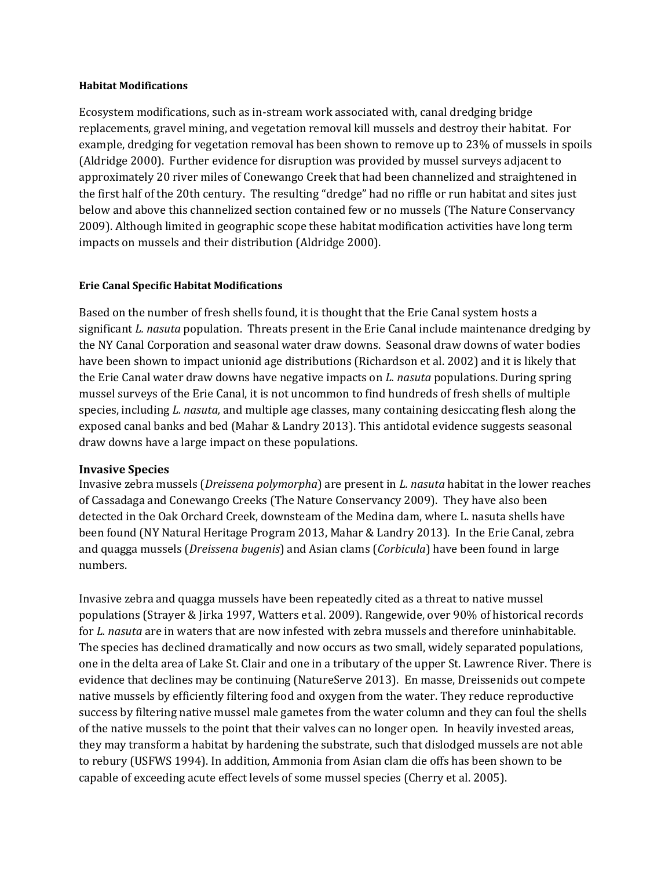#### **Habitat Modifications**

Ecosystem modifications, such as in-stream work associated with, canal dredging bridge replacements, gravel mining, and vegetation removal kill mussels and destroy their habitat. For example, dredging for vegetation removal has been shown to remove up to 23% of mussels in spoils (Aldridge 2000). Further evidence for disruption was provided by mussel surveys adjacent to approximately 20 river miles of Conewango Creek that had been channelized and straightened in the first half of the 20th century. The resulting "dredge" had no riffle or run habitat and sites just below and above this channelized section contained few or no mussels (The Nature Conservancy 2009). Although limited in geographic scope these habitat modification activities have long term impacts on mussels and their distribution (Aldridge 2000).

### **Erie Canal Specific Habitat Modifications**

Based on the number of fresh shells found, it is thought that the Erie Canal system hosts a significant *L. nasuta* population. Threats present in the Erie Canal include maintenance dredging by the NY Canal Corporation and seasonal water draw downs. Seasonal draw downs of water bodies have been shown to impact unionid age distributions (Richardson et al. 2002) and it is likely that the Erie Canal water draw downs have negative impacts on *L. nasuta* populations. During spring mussel surveys of the Erie Canal, it is not uncommon to find hundreds of fresh shells of multiple species, including *L. nasuta,* and multiple age classes, many containing desiccating flesh along the exposed canal banks and bed (Mahar & Landry 2013). This antidotal evidence suggests seasonal draw downs have a large impact on these populations.

### **Invasive Species**

Invasive zebra mussels (*Dreissena polymorpha*) are present in *L. nasuta* habitat in the lower reaches of Cassadaga and Conewango Creeks (The Nature Conservancy 2009). They have also been detected in the Oak Orchard Creek, downsteam of the Medina dam, where L. nasuta shells have been found (NY Natural Heritage Program 2013, Mahar & Landry 2013). In the Erie Canal, zebra and quagga mussels (*Dreissena bugenis*) and Asian clams (*Corbicula*) have been found in large numbers.

Invasive zebra and quagga mussels have been repeatedly cited as a threat to native mussel populations (Strayer & Jirka 1997, Watters et al. 2009). Rangewide, over 90% of historical records for *L. nasuta* are in waters that are now infested with zebra mussels and therefore uninhabitable. The species has declined dramatically and now occurs as two small, widely separated populations, one in the delta area of Lake St. Clair and one in a tributary of the upper St. Lawrence River. There is evidence that declines may be continuing (NatureServe 2013). En masse, Dreissenids out compete native mussels by efficiently filtering food and oxygen from the water. They reduce reproductive success by filtering native mussel male gametes from the water column and they can foul the shells of the native mussels to the point that their valves can no longer open. In heavily invested areas, they may transform a habitat by hardening the substrate, such that dislodged mussels are not able to rebury (USFWS 1994). In addition, Ammonia from Asian clam die offs has been shown to be capable of exceeding acute effect levels of some mussel species (Cherry et al. 2005).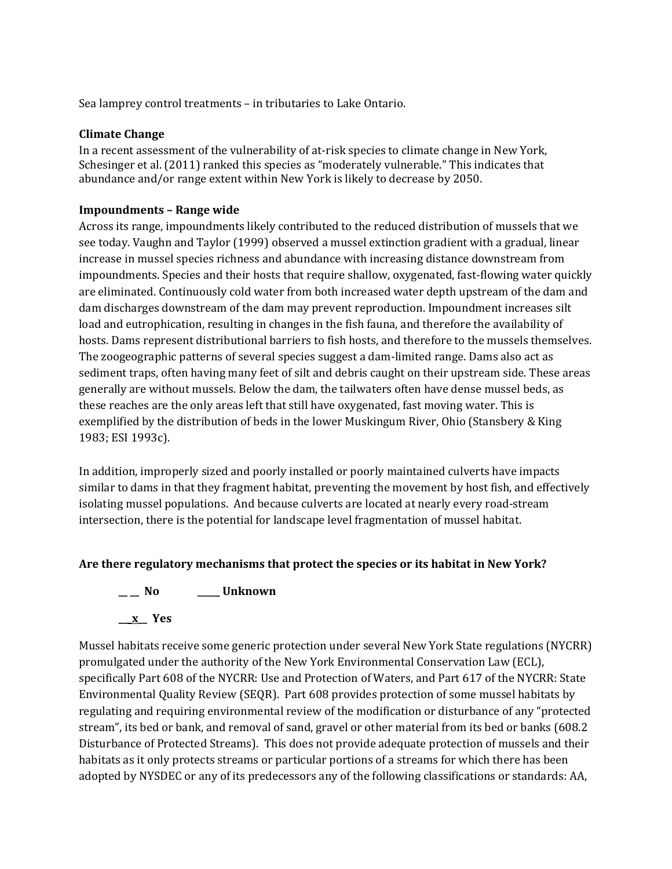Sea lamprey control treatments – in tributaries to Lake Ontario.

### **Climate Change**

In a recent assessment of the vulnerability of at-risk species to climate change in New York, Schesinger et al. (2011) ranked this species as "moderately vulnerable." This indicates that abundance and/or range extent within New York is likely to decrease by 2050.

### **Impoundments – Range wide**

Across its range, impoundments likely contributed to the reduced distribution of mussels that we see today. Vaughn and Taylor (1999) observed a mussel extinction gradient with a gradual, linear increase in mussel species richness and abundance with increasing distance downstream from impoundments. Species and their hosts that require shallow, oxygenated, fast-flowing water quickly are eliminated. Continuously cold water from both increased water depth upstream of the dam and dam discharges downstream of the dam may prevent reproduction. Impoundment increases silt load and eutrophication, resulting in changes in the fish fauna, and therefore the availability of hosts. Dams represent distributional barriers to fish hosts, and therefore to the mussels themselves. The zoogeographic patterns of several species suggest a dam-limited range. Dams also act as sediment traps, often having many feet of silt and debris caught on their upstream side. These areas generally are without mussels. Below the dam, the tailwaters often have dense mussel beds, as these reaches are the only areas left that still have oxygenated, fast moving water. This is exemplified by the distribution of beds in the lower Muskingum River, Ohio (Stansbery & King 1983; ESI 1993c).

In addition, improperly sized and poorly installed or poorly maintained culverts have impacts similar to dams in that they fragment habitat, preventing the movement by host fish, and effectively isolating mussel populations. And because culverts are located at nearly every road-stream intersection, there is the potential for landscape level fragmentation of mussel habitat.

### **Are there regulatory mechanisms that protect the species or its habitat in New York?**

**\_\_ \_\_ No \_\_\_\_\_ Unknown**

**\_\_\_x\_\_ Yes** 

Mussel habitats receive some generic protection under several New York State regulations (NYCRR) promulgated under the authority of the New York Environmental Conservation Law (ECL), specifically Part 608 of the NYCRR: Use and Protection of Waters, and Part 617 of the NYCRR: State Environmental Quality Review (SEQR). Part 608 provides protection of some mussel habitats by regulating and requiring environmental review of the modification or disturbance of any "protected stream", its bed or bank, and removal of sand, gravel or other material from its bed or banks (608.2 Disturbance of Protected Streams). This does not provide adequate protection of mussels and their habitats as it only protects streams or particular portions of a streams for which there has been adopted by NYSDEC or any of its predecessors any of the following classifications or standards: AA,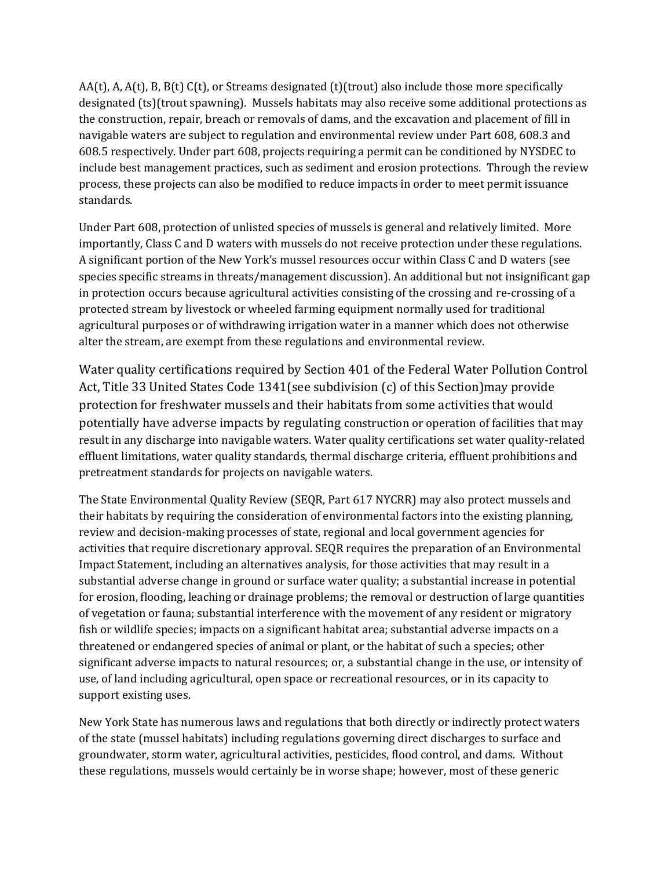AA(t), A, A(t), B, B(t) C(t), or Streams designated (t)(trout) also include those more specifically designated (ts)(trout spawning). Mussels habitats may also receive some additional protections as the construction, repair, breach or removals of dams, and the excavation and placement of fill in navigable waters are subject to regulation and environmental review under Part 608, 608.3 and 608.5 respectively. Under part 608, projects requiring a permit can be conditioned by NYSDEC to include best management practices, such as sediment and erosion protections. Through the review process, these projects can also be modified to reduce impacts in order to meet permit issuance standards.

Under Part 608, protection of unlisted species of mussels is general and relatively limited. More importantly, Class C and D waters with mussels do not receive protection under these regulations. A significant portion of the New York's mussel resources occur within Class C and D waters (see species specific streams in threats/management discussion). An additional but not insignificant gap in protection occurs because agricultural activities consisting of the crossing and re-crossing of a protected stream by livestock or wheeled farming equipment normally used for traditional agricultural purposes or of withdrawing irrigation water in a manner which does not otherwise alter the stream, are exempt from these regulations and environmental review.

Water quality certifications required by Section 401 of the Federal Water Pollution Control Act, Title 33 United States Code 1341(see subdivision (c) of this Section)may provide protection for freshwater mussels and their habitats from some activities that would potentially have adverse impacts by regulating construction or operation of facilities that may result in any discharge into navigable waters. Water quality certifications set water quality-related effluent limitations, water quality standards, thermal discharge criteria, effluent prohibitions and pretreatment standards for projects on navigable waters.

The State Environmental Quality Review (SEQR, Part 617 NYCRR) may also protect mussels and their habitats by requiring the consideration of environmental factors into the existing planning, review and decision-making processes of state, regional and local government agencies for activities that require discretionary approval. SEQR requires the preparation of an Environmental Impact Statement, including an alternatives analysis, for those activities that may result in a substantial adverse change in ground or surface water quality; a substantial increase in potential for erosion, flooding, leaching or drainage problems; the removal or destruction of large quantities of vegetation or fauna; substantial interference with the movement of any resident or migratory fish or wildlife species; impacts on a significant habitat area; substantial adverse impacts on a threatened or endangered species of animal or plant, or the habitat of such a species; other significant adverse impacts to natural resources; or, a substantial change in the use, or intensity of use, of land including agricultural, open space or recreational resources, or in its capacity to support existing uses.

New York State has numerous laws and regulations that both directly or indirectly protect waters of the state (mussel habitats) including regulations governing direct discharges to surface and groundwater, storm water, agricultural activities, pesticides, flood control, and dams. Without these regulations, mussels would certainly be in worse shape; however, most of these generic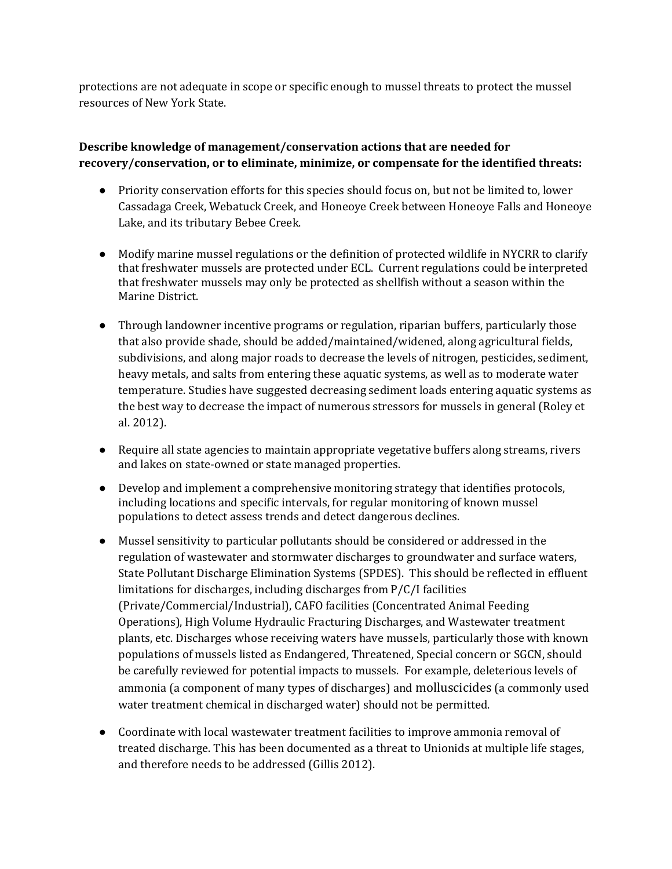protections are not adequate in scope or specific enough to mussel threats to protect the mussel resources of New York State.

# **Describe knowledge of management/conservation actions that are needed for recovery/conservation, or to eliminate, minimize, or compensate for the identified threats:**

- Priority conservation efforts for this species should focus on, but not be limited to, lower Cassadaga Creek, Webatuck Creek, and Honeoye Creek between Honeoye Falls and Honeoye Lake, and its tributary Bebee Creek.
- Modify marine mussel regulations or the definition of protected wildlife in NYCRR to clarify that freshwater mussels are protected under ECL. Current regulations could be interpreted that freshwater mussels may only be protected as shellfish without a season within the Marine District.
- Through landowner incentive programs or regulation, riparian buffers, particularly those that also provide shade, should be added/maintained/widened, along agricultural fields, subdivisions, and along major roads to decrease the levels of nitrogen, pesticides, sediment, heavy metals, and salts from entering these aquatic systems, as well as to moderate water temperature. Studies have suggested decreasing sediment loads entering aquatic systems as the best way to decrease the impact of numerous stressors for mussels in general (Roley et al. 2012).
- Require all state agencies to maintain appropriate vegetative buffers along streams, rivers and lakes on state-owned or state managed properties.
- Develop and implement a comprehensive monitoring strategy that identifies protocols, including locations and specific intervals, for regular monitoring of known mussel populations to detect assess trends and detect dangerous declines.
- Mussel sensitivity to particular pollutants should be considered or addressed in the regulation of wastewater and stormwater discharges to groundwater and surface waters, State Pollutant Discharge Elimination Systems (SPDES). This should be reflected in effluent limitations for discharges, including discharges from P/C/I facilities (Private/Commercial/Industrial), CAFO facilities (Concentrated Animal Feeding Operations), High Volume Hydraulic Fracturing Discharges, and Wastewater treatment plants, etc. Discharges whose receiving waters have mussels, particularly those with known populations of mussels listed as Endangered, Threatened, Special concern or SGCN, should be carefully reviewed for potential impacts to mussels. For example, deleterious levels of ammonia (a component of many types of discharges) and molluscicides (a commonly used water treatment chemical in discharged water) should not be permitted.
- Coordinate with local wastewater treatment facilities to improve ammonia removal of treated discharge. This has been documented as a threat to Unionids at multiple life stages, and therefore needs to be addressed (Gillis 2012).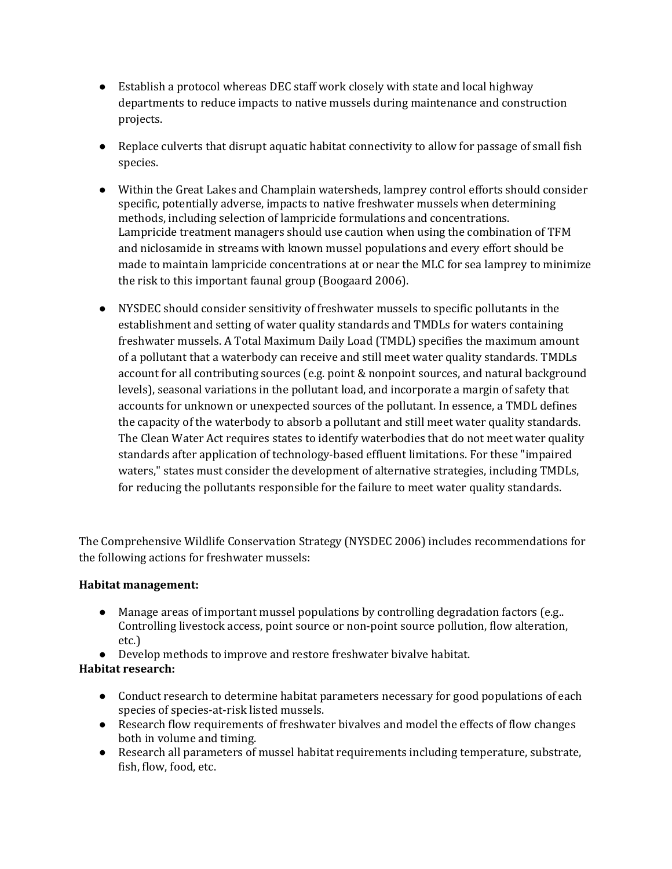- Establish a protocol whereas DEC staff work closely with state and local highway departments to reduce impacts to native mussels during maintenance and construction projects.
- Replace culverts that disrupt aquatic habitat connectivity to allow for passage of small fish species.
- Within the Great Lakes and Champlain watersheds, lamprey control efforts should consider specific, potentially adverse, impacts to native freshwater mussels when determining methods, including selection of lampricide formulations and concentrations. Lampricide treatment managers should use caution when using the combination of TFM and niclosamide in streams with known mussel populations and every effort should be made to maintain lampricide concentrations at or near the MLC for sea lamprey to minimize the risk to this important faunal group (Boogaard 2006).
- NYSDEC should consider sensitivity of freshwater mussels to specific pollutants in the establishment and setting of water quality standards and TMDLs for waters containing freshwater mussels. A Total Maximum Daily Load (TMDL) specifies the maximum amount of a pollutant that a waterbody can receive and still meet water quality standards. TMDLs account for all contributing sources (e.g. point & nonpoint sources, and natural background levels), seasonal variations in the pollutant load, and incorporate a margin of safety that accounts for unknown or unexpected sources of the pollutant. In essence, a TMDL defines the capacity of the waterbody to absorb a pollutant and still meet water quality standards. The Clean Water Act requires states to identify waterbodies that do not meet water quality standards after application of technology-based effluent limitations. For these "impaired waters," states must consider the development of alternative strategies, including TMDLs, for reducing the pollutants responsible for the failure to meet water quality standards.

The Comprehensive Wildlife Conservation Strategy (NYSDEC 2006) includes recommendations for the following actions for freshwater mussels:

### **Habitat management:**

- Manage areas of important mussel populations by controlling degradation factors (e.g.. Controlling livestock access, point source or non-point source pollution, flow alteration, etc.)
- Develop methods to improve and restore freshwater bivalve habitat.

# **Habitat research:**

- Conduct research to determine habitat parameters necessary for good populations of each species of species-at-risk listed mussels.
- Research flow requirements of freshwater bivalves and model the effects of flow changes both in volume and timing.
- Research all parameters of mussel habitat requirements including temperature, substrate, fish, flow, food, etc.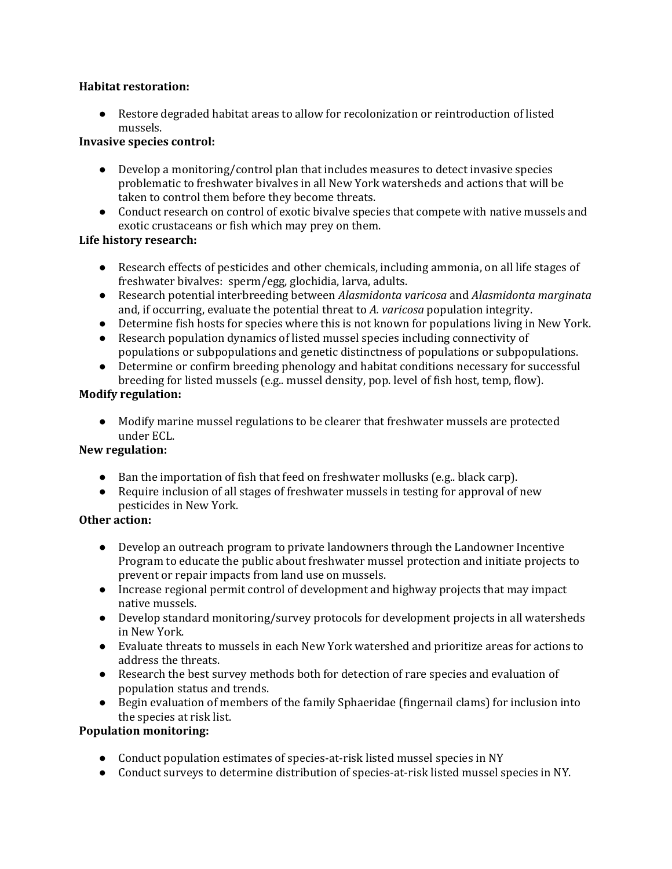### **Habitat restoration:**

● Restore degraded habitat areas to allow for recolonization or reintroduction of listed mussels.

## **Invasive species control:**

- Develop a monitoring/control plan that includes measures to detect invasive species problematic to freshwater bivalves in all New York watersheds and actions that will be taken to control them before they become threats.
- Conduct research on control of exotic bivalve species that compete with native mussels and exotic crustaceans or fish which may prey on them.

# **Life history research:**

- Research effects of pesticides and other chemicals, including ammonia, on all life stages of freshwater bivalves: sperm/egg, glochidia, larva, adults.
- Research potential interbreeding between *Alasmidonta varicosa* and *Alasmidonta marginata* and, if occurring, evaluate the potential threat to *A. varicosa* population integrity.
- Determine fish hosts for species where this is not known for populations living in New York.
- Research population dynamics of listed mussel species including connectivity of populations or subpopulations and genetic distinctness of populations or subpopulations.
- Determine or confirm breeding phenology and habitat conditions necessary for successful breeding for listed mussels (e.g.. mussel density, pop. level of fish host, temp, flow).

### **Modify regulation:**

● Modify marine mussel regulations to be clearer that freshwater mussels are protected under ECL.

# **New regulation:**

- Ban the importation of fish that feed on freshwater mollusks (e.g.. black carp).
- Require inclusion of all stages of freshwater mussels in testing for approval of new pesticides in New York*.*

### **Other action:**

- Develop an outreach program to private landowners through the Landowner Incentive Program to educate the public about freshwater mussel protection and initiate projects to prevent or repair impacts from land use on mussels.
- Increase regional permit control of development and highway projects that may impact native mussels.
- Develop standard monitoring/survey protocols for development projects in all watersheds in New York.
- Evaluate threats to mussels in each New York watershed and prioritize areas for actions to address the threats.
- Research the best survey methods both for detection of rare species and evaluation of population status and trends.
- Begin evaluation of members of the family Sphaeridae (fingernail clams) for inclusion into the species at risk list.

# **Population monitoring:**

- Conduct population estimates of species-at-risk listed mussel species in NY
- Conduct surveys to determine distribution of species-at-risk listed mussel species in NY.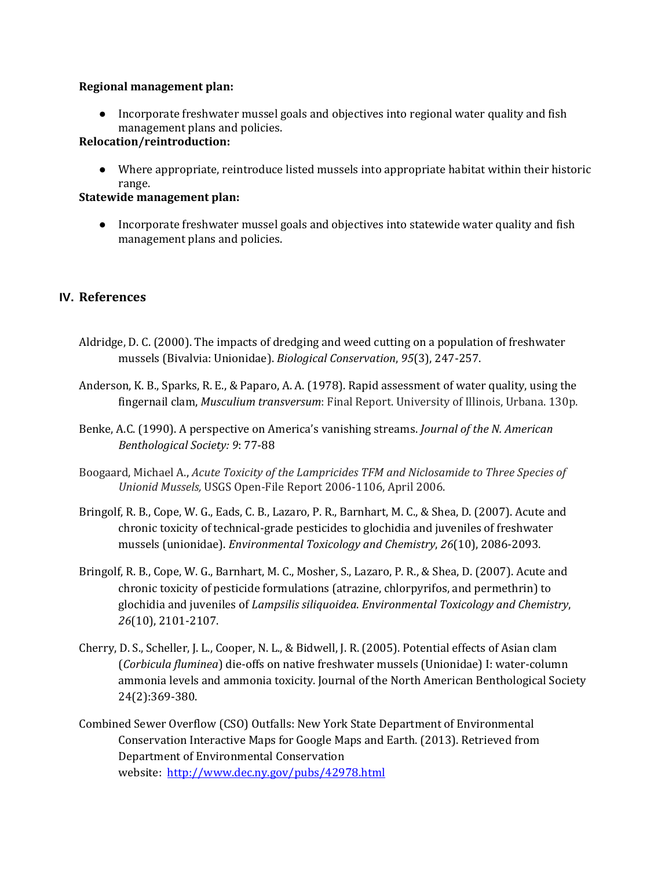### **Regional management plan:**

● Incorporate freshwater mussel goals and objectives into regional water quality and fish management plans and policies.

### **Relocation/reintroduction:**

● Where appropriate, reintroduce listed mussels into appropriate habitat within their historic range.

### **Statewide management plan:**

● Incorporate freshwater mussel goals and objectives into statewide water quality and fish management plans and policies.

### **IV. References**

- Aldridge, D. C. (2000). The impacts of dredging and weed cutting on a population of freshwater mussels (Bivalvia: Unionidae). *Biological Conservation*, *95*(3), 247-257.
- Anderson, K. B., Sparks, R. E., & Paparo, A. A. (1978). Rapid assessment of water quality, using the fingernail clam, *Musculium transversum*: Final Report. University of Illinois, Urbana. 130p.
- Benke, A.C. (1990). A perspective on America's vanishing streams. *Journal of the N. American Benthological Society: 9*: 77-88
- Boogaard, Michael A., *Acute Toxicity of the Lampricides TFM and Niclosamide to Three Species of Unionid Mussels,* USGS Open-File Report 2006-1106, April 2006.
- Bringolf, R. B., Cope, W. G., Eads, C. B., Lazaro, P. R., Barnhart, M. C., & Shea, D. (2007). Acute and chronic toxicity of technical‐grade pesticides to glochidia and juveniles of freshwater mussels (unionidae). *Environmental Toxicology and Chemistry*, *26*(10), 2086-2093.
- Bringolf, R. B., Cope, W. G., Barnhart, M. C., Mosher, S., Lazaro, P. R., & Shea, D. (2007). Acute and chronic toxicity of pesticide formulations (atrazine, chlorpyrifos, and permethrin) to glochidia and juveniles of *Lampsilis siliquoidea*. *Environmental Toxicology and Chemistry*, *26*(10), 2101-2107.
- Cherry, D. S., Scheller, J. L., Cooper, N. L., & Bidwell, J. R. (2005). Potential effects of Asian clam (*Corbicula fluminea*) die-offs on native freshwater mussels (Unionidae) I: water-column ammonia levels and ammonia toxicity. Journal of the North American Benthological Society 24(2):369-380.
- Combined Sewer Overflow (CSO) Outfalls: New York State Department of Environmental Conservation Interactive Maps for Google Maps and Earth. (2013). Retrieved from Department of Environmental Conservation website: <http://www.dec.ny.gov/pubs/42978.html>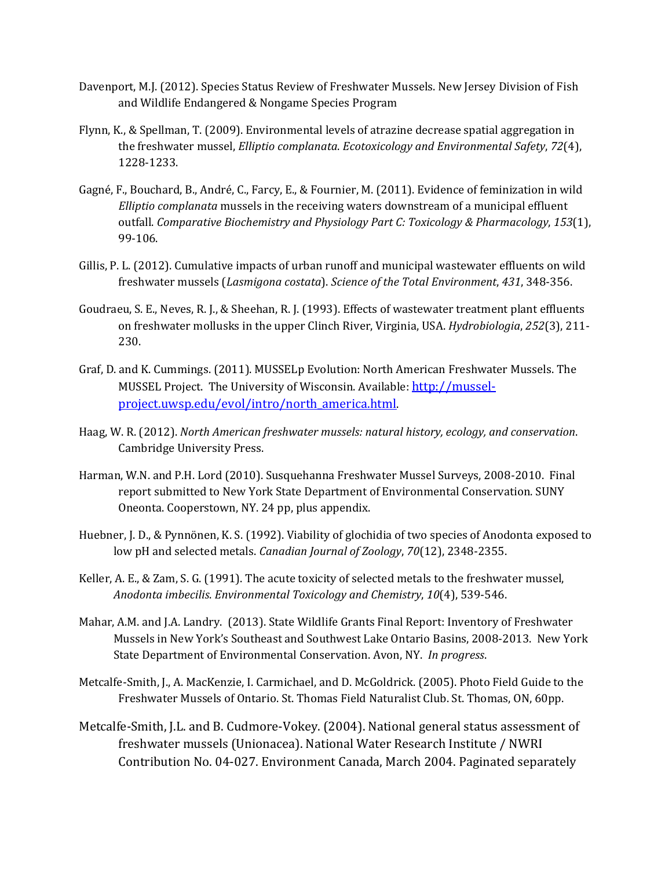- Davenport, M.J. (2012). Species Status Review of Freshwater Mussels. New Jersey Division of Fish and Wildlife Endangered & Nongame Species Program
- Flynn, K., & Spellman, T. (2009). Environmental levels of atrazine decrease spatial aggregation in the freshwater mussel, *Elliptio complanata*. *Ecotoxicology and Environmental Safety*, *72*(4), 1228-1233.
- Gagné, F., Bouchard, B., André, C., Farcy, E., & Fournier, M. (2011). Evidence of feminization in wild *Elliptio complanata* mussels in the receiving waters downstream of a municipal effluent outfall. *Comparative Biochemistry and Physiology Part C: Toxicology & Pharmacology*, *153*(1), 99-106.
- Gillis, P. L. (2012). Cumulative impacts of urban runoff and municipal wastewater effluents on wild freshwater mussels (*Lasmigona costata*). *Science of the Total Environment*, *431*, 348-356.
- Goudraeu, S. E., Neves, R. J., & Sheehan, R. J. (1993). Effects of wastewater treatment plant effluents on freshwater mollusks in the upper Clinch River, Virginia, USA. *Hydrobiologia*, *252*(3), 211- 230.
- Graf, D. and K. Cummings. (2011). MUSSELp Evolution: North American Freshwater Mussels. The MUSSEL Project. The University of Wisconsin. Available: [http://mussel](http://mussel-project.uwsp.edu/evol/intro/north_america.html)[project.uwsp.edu/evol/intro/north\\_america.html](http://mussel-project.uwsp.edu/evol/intro/north_america.html).
- Haag, W. R. (2012). *North American freshwater mussels: natural history, ecology, and conservation*. Cambridge University Press.
- Harman, W.N. and P.H. Lord (2010). Susquehanna Freshwater Mussel Surveys, 2008-2010. Final report submitted to New York State Department of Environmental Conservation. SUNY Oneonta. Cooperstown, NY. 24 pp, plus appendix.
- Huebner, J. D., & Pynnönen, K. S. (1992). Viability of glochidia of two species of Anodonta exposed to low pH and selected metals. *Canadian Journal of Zoology*, *70*(12), 2348-2355.
- Keller, A. E., & Zam, S. G. (1991). The acute toxicity of selected metals to the freshwater mussel, *Anodonta imbecilis*. *Environmental Toxicology and Chemistry*, *10*(4), 539-546.
- Mahar, A.M. and J.A. Landry. (2013). State Wildlife Grants Final Report: Inventory of Freshwater Mussels in New York's Southeast and Southwest Lake Ontario Basins, 2008-2013. New York State Department of Environmental Conservation. Avon, NY. *In progress*.
- Metcalfe-Smith, J., A. MacKenzie, I. Carmichael, and D. McGoldrick. (2005). Photo Field Guide to the Freshwater Mussels of Ontario. St. Thomas Field Naturalist Club. St. Thomas, ON, 60pp.
- Metcalfe-Smith, J.L. and B. Cudmore-Vokey. (2004). National general status assessment of freshwater mussels (Unionacea). National Water Research Institute / NWRI Contribution No. 04-027. Environment Canada, March 2004. Paginated separately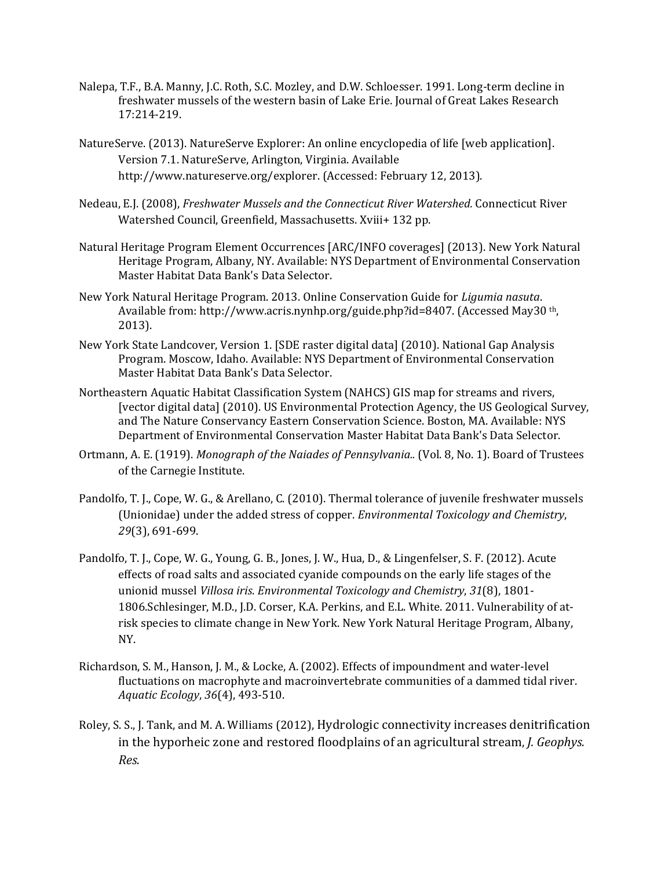- Nalepa, T.F., B.A. Manny, J.C. Roth, S.C. Mozley, and D.W. Schloesser. 1991. Long-term decline in freshwater mussels of the western basin of Lake Erie. Journal of Great Lakes Research 17:214-219.
- NatureServe. (2013). NatureServe Explorer: An online encyclopedia of life [web application]. Version 7.1. NatureServe, Arlington, Virginia. Available http://www.natureserve.org/explorer. (Accessed: February 12, 2013).
- Nedeau, E.J. (2008), *Freshwater Mussels and the Connecticut River Watershed.* Connecticut River Watershed Council, Greenfield, Massachusetts. Xviii+ 132 pp.
- Natural Heritage Program Element Occurrences [ARC/INFO coverages] (2013). New York Natural Heritage Program, Albany, NY. Available: NYS Department of Environmental Conservation Master Habitat Data Bank's Data Selector.
- New York Natural Heritage Program. 2013. Online Conservation Guide for *Ligumia nasuta*. Available from: http://www.acris.nynhp.org/guide.php?id=8407. (Accessed May30 th, 2013).
- New York State Landcover, Version 1. [SDE raster digital data] (2010). National Gap Analysis Program. Moscow, Idaho. Available: NYS Department of Environmental Conservation Master Habitat Data Bank's Data Selector.
- Northeastern Aquatic Habitat Classification System (NAHCS) GIS map for streams and rivers, [vector digital data] (2010). US Environmental Protection Agency, the US Geological Survey, and The Nature Conservancy Eastern Conservation Science. Boston, MA. Available: NYS Department of Environmental Conservation Master Habitat Data Bank's Data Selector.
- Ortmann, A. E. (1919). *Monograph of the Naiades of Pennsylvania..* (Vol. 8, No. 1). Board of Trustees of the Carnegie Institute.
- Pandolfo, T. J., Cope, W. G., & Arellano, C. (2010). Thermal tolerance of juvenile freshwater mussels (Unionidae) under the added stress of copper. *Environmental Toxicology and Chemistry*, *29*(3), 691-699.
- Pandolfo, T. J., Cope, W. G., Young, G. B., Jones, J. W., Hua, D., & Lingenfelser, S. F. (2012). Acute effects of road salts and associated cyanide compounds on the early life stages of the unionid mussel *Villosa iris*. *Environmental Toxicology and Chemistry*, *31*(8), 1801- 1806.Schlesinger, M.D., J.D. Corser, K.A. Perkins, and E.L. White. 2011. Vulnerability of atrisk species to climate change in New York. New York Natural Heritage Program, Albany, NY.
- Richardson, S. M., Hanson, J. M., & Locke, A. (2002). Effects of impoundment and water-level fluctuations on macrophyte and macroinvertebrate communities of a dammed tidal river. *Aquatic Ecology*, *36*(4), 493-510.
- Roley, S. S., J. Tank, and M. A. Williams (2012), Hydrologic connectivity increases denitrification in the hyporheic zone and restored floodplains of an agricultural stream, *J. Geophys. Res.*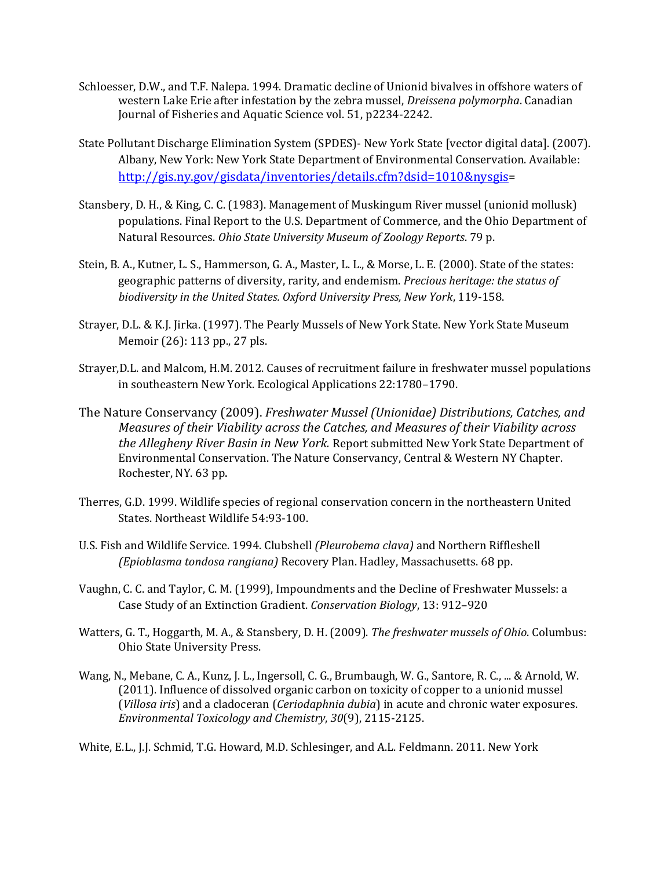- Schloesser, D.W., and T.F. Nalepa. 1994. Dramatic decline of Unionid bivalves in offshore waters of western Lake Erie after infestation by the zebra mussel, *Dreissena polymorpha*. Canadian Journal of Fisheries and Aquatic Science vol. 51, p2234-2242.
- State Pollutant Discharge Elimination System (SPDES)- New York State [vector digital data]. (2007). Albany, New York: New York State Department of Environmental Conservation. Available: <http://gis.ny.gov/gisdata/inventories/details.cfm?dsid=1010&nysgis>=
- Stansbery, D. H., & King, C. C. (1983). Management of Muskingum River mussel (unionid mollusk) populations. Final Report to the U.S. Department of Commerce, and the Ohio Department of Natural Resources. *Ohio State University Museum of Zoology Reports*. 79 p.
- Stein, B. A., Kutner, L. S., Hammerson, G. A., Master, L. L., & Morse, L. E. (2000). State of the states: geographic patterns of diversity, rarity, and endemism. *Precious heritage: the status of biodiversity in the United States. Oxford University Press, New York*, 119-158.
- Strayer, D.L. & K.J. Jirka. (1997). The Pearly Mussels of New York State. New York State Museum Memoir (26): 113 pp., 27 pls.
- Strayer,D.L. and Malcom, H.M. 2012. Causes of recruitment failure in freshwater mussel populations in southeastern New York. Ecological Applications 22:1780–1790.
- The Nature Conservancy (2009). *Freshwater Mussel (Unionidae) Distributions, Catches, and Measures of their Viability across the Catches, and Measures of their Viability across the Allegheny River Basin in New York.* Report submitted New York State Department of Environmental Conservation. The Nature Conservancy, Central & Western NY Chapter. Rochester, NY. 63 pp.
- Therres, G.D. 1999. Wildlife species of regional conservation concern in the northeastern United States. Northeast Wildlife 54:93-100.
- U.S. Fish and Wildlife Service. 1994. Clubshell *(Pleurobema clava)* and Northern Riffleshell *(Epioblasma tondosa rangiana)* Recovery Plan. Hadley, Massachusetts. 68 pp.
- Vaughn, C. C. and Taylor, C. M. (1999), Impoundments and the Decline of Freshwater Mussels: a Case Study of an Extinction Gradient. *Conservation Biology*, 13: 912–920
- Watters, G. T., Hoggarth, M. A., & Stansbery, D. H. (2009). *The freshwater mussels of Ohio*. Columbus: Ohio State University Press.
- Wang, N., Mebane, C. A., Kunz, J. L., Ingersoll, C. G., Brumbaugh, W. G., Santore, R. C., ... & Arnold, W. (2011). Influence of dissolved organic carbon on toxicity of copper to a unionid mussel (*Villosa iris*) and a cladoceran (*Ceriodaphnia dubia*) in acute and chronic water exposures. *Environmental Toxicology and Chemistry*, *30*(9), 2115-2125.

White, E.L., J.J. Schmid, T.G. Howard, M.D. Schlesinger, and A.L. Feldmann. 2011. New York